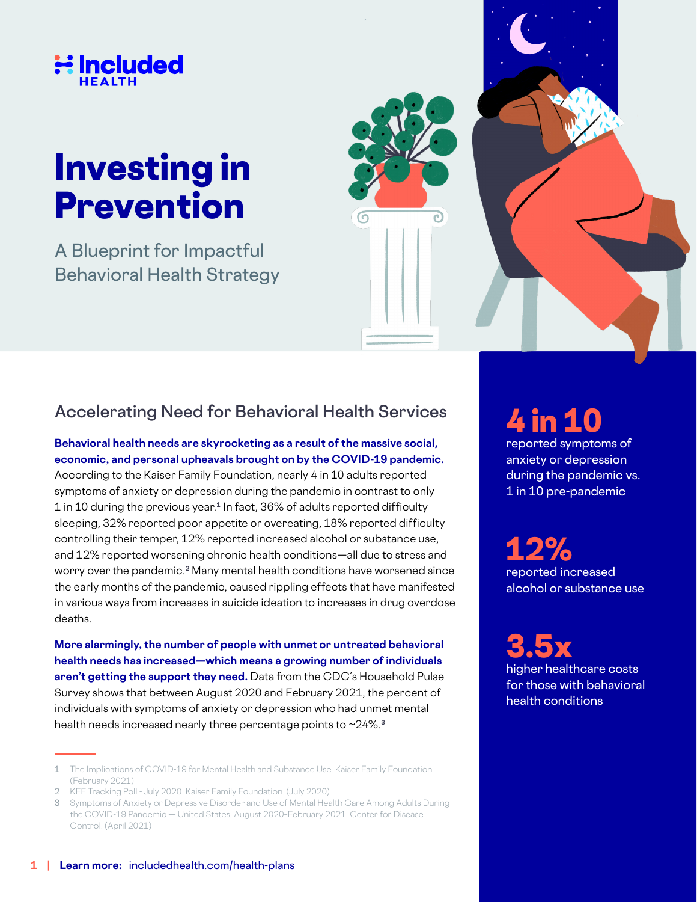

# Investing in Prevention

A Blueprint for Impactful Behavioral Health Strategy



## **Accelerating Need for Behavioral Health Services**

**Behavioral health needs are skyrocketing as a result of the massive social, economic, and personal upheavals brought on by the COVID-19 pandemic.** 

According to the Kaiser Family Foundation, nearly 4 in 10 adults reported symptoms of anxiety or depression during the pandemic in contrast to only 1 in 10 during the previous year.**1** In fact, 36% of adults reported difficulty sleeping, 32% reported poor appetite or overeating, 18% reported difficulty controlling their temper, 12% reported increased alcohol or substance use, and 12% reported worsening chronic health conditions—all due to stress and worry over the pandemic.**2** Many mental health conditions have worsened since the early months of the pandemic, caused rippling effects that have manifested in various ways from increases in suicide ideation to increases in drug overdose deaths.

**More alarmingly, the number of people with unmet or untreated behavioral health needs has increased—which means a growing number of individuals aren't getting the support they need.** Data from the CDC's Household Pulse Survey shows that between August 2020 and February 2021, the percent of individuals with symptoms of anxiety or depression who had unmet mental health needs increased nearly three percentage points to ~24%.**<sup>3</sup>**

2 KFF Tracking Poll - July 2020. Kaiser Family Foundation. (July 2020)

## 4 in 10

reported symptoms of anxiety or depression during the pandemic vs. 1 in 10 pre-pandemic

12% reported increased alcohol or substance use

3.5x higher healthcare costs for those with behavioral health conditions

<sup>1</sup> The Implications of COVID-19 for Mental Health and Substance Use. Kaiser Family Foundation. (February 2021)

<sup>3</sup> Symptoms of Anxiety or Depressive Disorder and Use of Mental Health Care Among Adults During the COVID-19 Pandemic — United States, August 2020–February 2021. Center for Disease Control. (April 2021)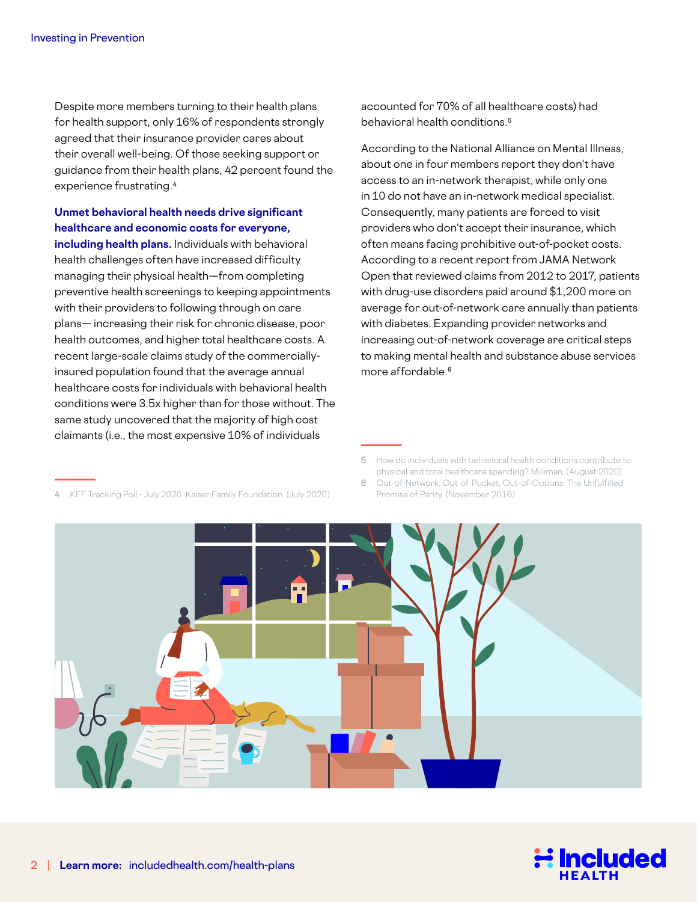Despite more members turning to their health plans for health support, only 16% of respondents strongly agreed that their insurance provider cares about their overall well-being. Of those seeking support or guidance from their health plans, 42 percent found the experience frustrating.**<sup>4</sup>**

#### **Unmet behavioral health needs drive significant healthcare and economic costs for everyone,**

**including health plans.** Individuals with behavioral health challenges often have increased difficulty managing their physical health—from completing preventive health screenings to keeping appointments with their providers to following through on care plans— increasing their risk for chronic disease, poor health outcomes, and higher total healthcare costs. A recent large-scale claims study of the commerciallyinsured population found that the average annual healthcare costs for individuals with behavioral health conditions were 3.5x higher than for those without. The same study uncovered that the majority of high cost claimants (i.e., the most expensive 10% of individuals

KFF Tracking Poll - July 2020. Kaiser Family Foundation. (July 2020)

accounted for 70% of all healthcare costs) had behavioral health conditions.**<sup>5</sup>**

According to the National Alliance on Mental Illness, about one in four members report they don't have access to an in-network therapist, while only one in 10 do not have an in-network medical specialist. Consequently, many patients are forced to visit providers who don't accept their insurance, which often means facing prohibitive out-of-pocket costs. According to a recent report from JAMA Network Open that reviewed claims from 2012 to 2017, patients with drug-use disorders paid around \$1,200 more on average for out-of-network care annually than patients with diabetes. Expanding provider networks and increasing out-of-network coverage are critical steps to making mental health and substance abuse services more affordable.**<sup>6</sup>**

<sup>6</sup> Out-of-Network, Out-of-Pocket, Out-of-Options: The Unfulfilled Promise of Parity. (November 2016)





<sup>5</sup> How do individuals with behavioral health conditions contribute to physical and total healthcare spending? Milliman. (August 2020)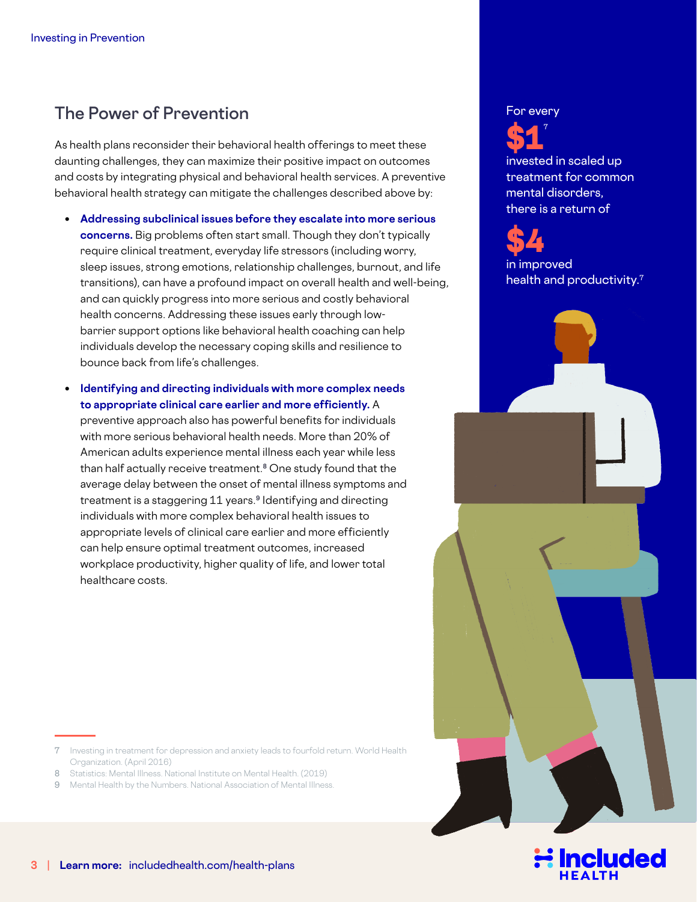## **The Power of Prevention**

As health plans reconsider their behavioral health offerings to meet these daunting challenges, they can maximize their positive impact on outcomes and costs by integrating physical and behavioral health services. A preventive behavioral health strategy can mitigate the challenges described above by:

- **Addressing subclinical issues before they escalate into more serious concerns.** Big problems often start small. Though they don't typically require clinical treatment, everyday life stressors (including worry, sleep issues, strong emotions, relationship challenges, burnout, and life transitions), can have a profound impact on overall health and well-being, and can quickly progress into more serious and costly behavioral health concerns. Addressing these issues early through lowbarrier support options like behavioral health coaching can help individuals develop the necessary coping skills and resilience to bounce back from life's challenges.
- **Identifying and directing individuals with more complex needs to appropriate clinical care earlier and more efficiently.** A

preventive approach also has powerful benefits for individuals with more serious behavioral health needs. More than 20% of American adults experience mental illness each year while less than half actually receive treatment.**8** One study found that the average delay between the onset of mental illness symptoms and treatment is a staggering 11 years.**9** Identifying and directing individuals with more complex behavioral health issues to appropriate levels of clinical care earlier and more efficiently can help ensure optimal treatment outcomes, increased workplace productivity, higher quality of life, and lower total healthcare costs.

- 7 Investing in treatment for depression and anxiety leads to fourfold return. World Health Organization. (April 2016)
- 8 Statistics: Mental Illness, National Institute on Mental Health. (2019).
- 9 Mental Health by the Numbers. National Association of Mental Illness.

#### For every



invested in scaled up treatment for common mental disorders, there is a return of



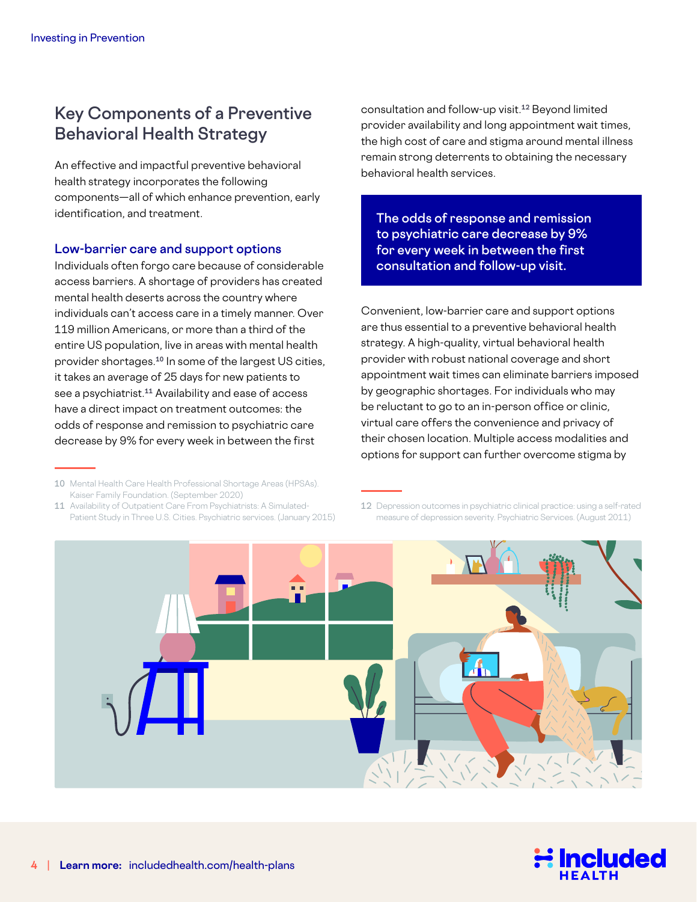## **Key Components of a Preventive Behavioral Health Strategy**

An effective and impactful preventive behavioral health strategy incorporates the following components—all of which enhance prevention, early identification, and treatment.

#### **Low-barrier care and support options**

Individuals often forgo care because of considerable access barriers. A shortage of providers has created mental health deserts across the country where individuals can't access care in a timely manner. Over 119 million Americans, or more than a third of the entire US population, live in areas with mental health provider shortages.**10** In some of the largest US cities, it takes an average of 25 days for new patients to see a psychiatrist.**11** Availability and ease of access have a direct impact on treatment outcomes: the odds of response and remission to psychiatric care decrease by 9% for every week in between the first

11 Availability of Outpatient Care From Psychiatrists: A Simulated-Patient Study in Three U.S. Cities. Psychiatric services. (January 2015) consultation and follow-up visit.**12** Beyond limited provider availability and long appointment wait times, the high cost of care and stigma around mental illness remain strong deterrents to obtaining the necessary behavioral health services.

**The odds of response and remission to psychiatric care decrease by 9% for every week in between the first consultation and follow-up visit.**

Convenient, low-barrier care and support options are thus essential to a preventive behavioral health strategy. A high-quality, virtual behavioral health provider with robust national coverage and short appointment wait times can eliminate barriers imposed by geographic shortages. For individuals who may be reluctant to go to an in-person office or clinic, virtual care offers the convenience and privacy of their chosen location. Multiple access modalities and options for support can further overcome stigma by

<sup>12</sup> Depression outcomes in psychiatric clinical practice: using a self-rated measure of depression severity. Psychiatric Services. (August 2011)





<sup>10</sup> Mental Health Care Health Professional Shortage Areas (HPSAs). Kaiser Family Foundation. (September 2020)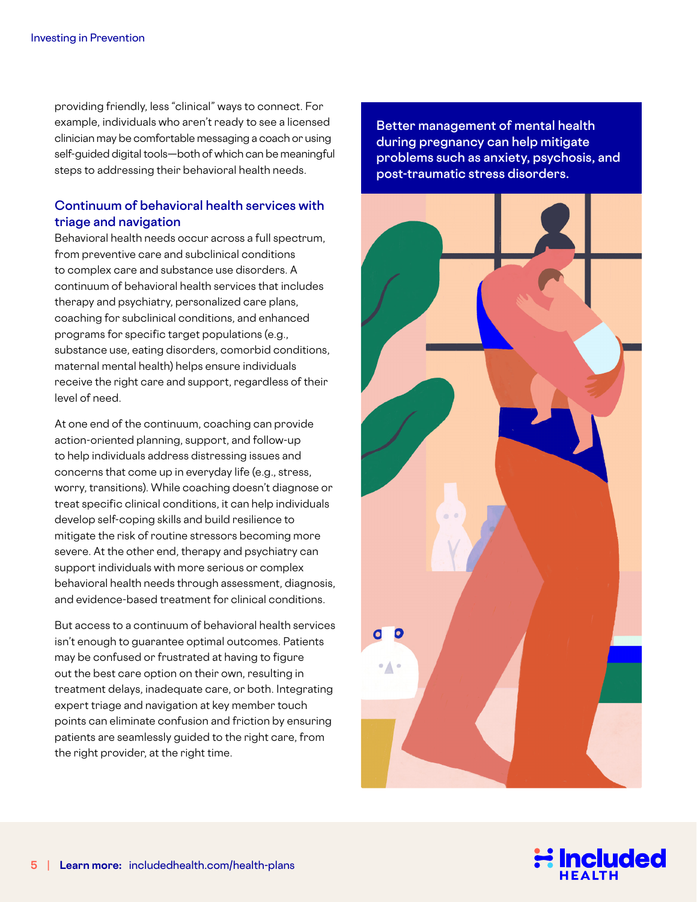providing friendly, less "clinical" ways to connect. For example, individuals who aren't ready to see a licensed clinician may be comfortable messaging a coach or using self-guided digital tools—both of which can be meaningful steps to addressing their behavioral health needs.

#### **Continuum of behavioral health services with triage and navigation**

Behavioral health needs occur across a full spectrum, from preventive care and subclinical conditions to complex care and substance use disorders. A continuum of behavioral health services that includes therapy and psychiatry, personalized care plans, coaching for subclinical conditions, and enhanced programs for specific target populations (e.g., substance use, eating disorders, comorbid conditions, maternal mental health) helps ensure individuals receive the right care and support, regardless of their level of need.

At one end of the continuum, coaching can provide action-oriented planning, support, and follow-up to help individuals address distressing issues and concerns that come up in everyday life (e.g., stress, worry, transitions). While coaching doesn't diagnose or treat specific clinical conditions, it can help individuals develop self-coping skills and build resilience to mitigate the risk of routine stressors becoming more severe. At the other end, therapy and psychiatry can support individuals with more serious or complex behavioral health needs through assessment, diagnosis, and evidence-based treatment for clinical conditions.

But access to a continuum of behavioral health services isn't enough to guarantee optimal outcomes. Patients may be confused or frustrated at having to figure out the best care option on their own, resulting in treatment delays, inadequate care, or both. Integrating expert triage and navigation at key member touch points can eliminate confusion and friction by ensuring patients are seamlessly guided to the right care, from the right provider, at the right time.

**Better management of mental health during pregnancy can help mitigate problems such as anxiety, psychosis, and post-traumatic stress disorders.**



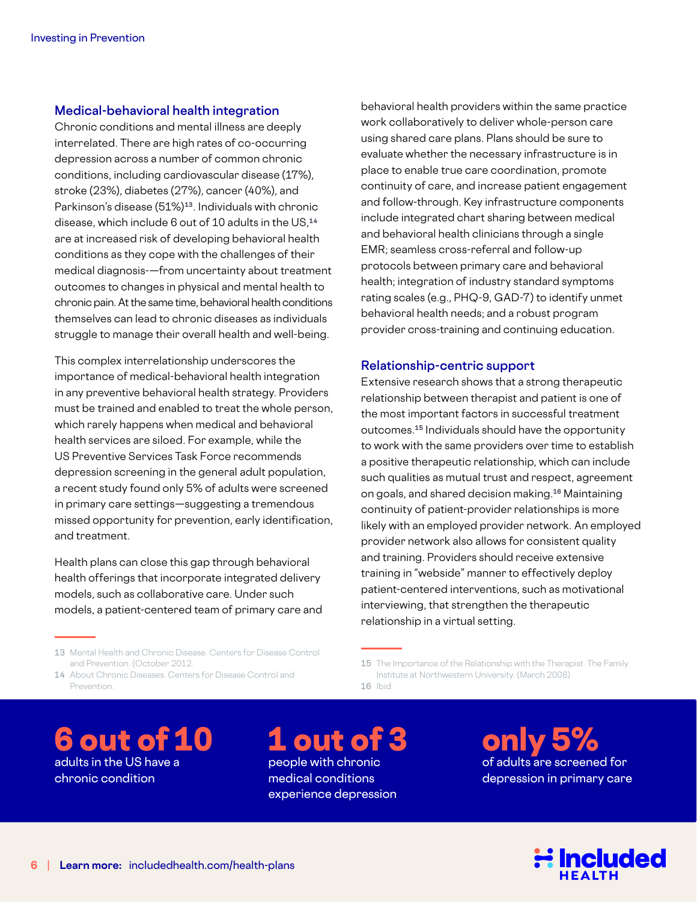#### **Medical-behavioral health integration**

Chronic conditions and mental illness are deeply interrelated. There are high rates of co-occurring depression across a number of common chronic conditions, including cardiovascular disease (17%), stroke (23%), diabetes (27%), cancer (40%), and Parkinson's disease (51%)**13**. Individuals with chronic disease, which include 6 out of 10 adults in the US,**<sup>14</sup>** are at increased risk of developing behavioral health conditions as they cope with the challenges of their medical diagnosis-—from uncertainty about treatment outcomes to changes in physical and mental health to chronic pain. At the same time, behavioral health conditions themselves can lead to chronic diseases as individuals struggle to manage their overall health and well-being.

This complex interrelationship underscores the importance of medical-behavioral health integration in any preventive behavioral health strategy. Providers must be trained and enabled to treat the whole person, which rarely happens when medical and behavioral health services are siloed. For example, while the US Preventive Services Task Force recommends depression screening in the general adult population, a recent study found only 5% of adults were screened in primary care settings—suggesting a tremendous missed opportunity for prevention, early identification, and treatment.

Health plans can close this gap through behavioral health offerings that incorporate integrated delivery models, such as collaborative care. Under such models, a patient-centered team of primary care and

13 Mental Health and Chronic Disease. Centers for Disease Control and Prevention. (October 2012.

14 About Chronic Diseases. Centers for Disease Control and Prevention.

behavioral health providers within the same practice work collaboratively to deliver whole-person care using shared care plans. Plans should be sure to evaluate whether the necessary infrastructure is in place to enable true care coordination, promote continuity of care, and increase patient engagement and follow-through. Key infrastructure components include integrated chart sharing between medical and behavioral health clinicians through a single EMR; seamless cross-referral and follow-up protocols between primary care and behavioral health; integration of industry standard symptoms rating scales (e.g., PHQ-9, GAD-7) to identify unmet behavioral health needs; and a robust program provider cross-training and continuing education.

#### **Relationship-centric support**

Extensive research shows that a strong therapeutic relationship between therapist and patient is one of the most important factors in successful treatment outcomes.**15** Individuals should have the opportunity to work with the same providers over time to establish a positive therapeutic relationship, which can include such qualities as mutual trust and respect, agreement on goals, and shared decision making.**16** Maintaining continuity of patient-provider relationships is more likely with an employed provider network. An employed provider network also allows for consistent quality and training. Providers should receive extensive training in "webside" manner to effectively deploy patient-centered interventions, such as motivational interviewing, that strengthen the therapeutic relationship in a virtual setting.

15 The Importance of the Relationship with the Therapist. The Family Institute at Northwestern University. (March 2008)

16 Ibid.

6 out of 10 adults in the US have a chronic condition

1 out of 3 people with chronic medical conditions experience depression

only 5% of adults are screened for depression in primary care